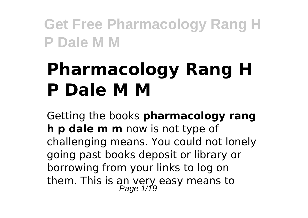# **Pharmacology Rang H P Dale M M**

Getting the books **pharmacology rang h p dale m m** now is not type of challenging means. You could not lonely going past books deposit or library or borrowing from your links to log on them. This is an very easy means to<br>Page 1/19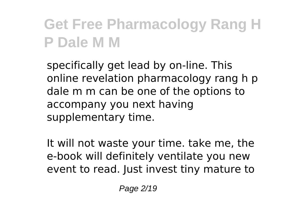specifically get lead by on-line. This online revelation pharmacology rang h p dale m m can be one of the options to accompany you next having supplementary time.

It will not waste your time. take me, the e-book will definitely ventilate you new event to read. Just invest tiny mature to

Page 2/19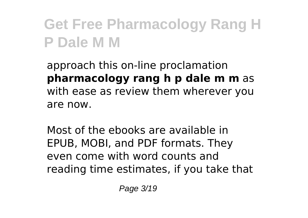approach this on-line proclamation **pharmacology rang h p dale m m** as with ease as review them wherever you are now.

Most of the ebooks are available in EPUB, MOBI, and PDF formats. They even come with word counts and reading time estimates, if you take that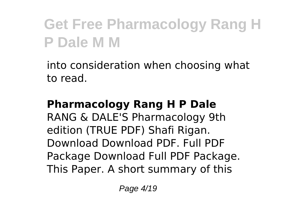into consideration when choosing what to read.

#### **Pharmacology Rang H P Dale**

RANG & DALE'S Pharmacology 9th edition (TRUE PDF) Shafi Rigan. Download Download PDF. Full PDF Package Download Full PDF Package. This Paper. A short summary of this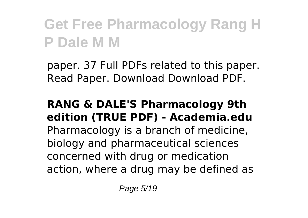paper. 37 Full PDFs related to this paper. Read Paper. Download Download PDF.

#### **RANG & DALE'S Pharmacology 9th edition (TRUE PDF) - Academia.edu** Pharmacology is a branch of medicine, biology and pharmaceutical sciences concerned with drug or medication action, where a drug may be defined as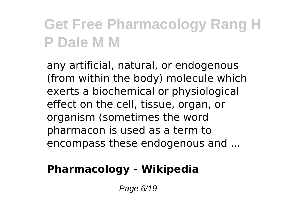any artificial, natural, or endogenous (from within the body) molecule which exerts a biochemical or physiological effect on the cell, tissue, organ, or organism (sometimes the word pharmacon is used as a term to encompass these endogenous and ...

#### **Pharmacology - Wikipedia**

Page 6/19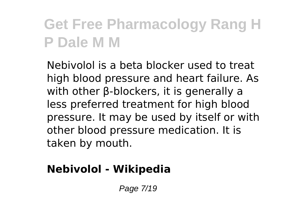Nebivolol is a beta blocker used to treat high blood pressure and heart failure. As with other β-blockers, it is generally a less preferred treatment for high blood pressure. It may be used by itself or with other blood pressure medication. It is taken by mouth.

#### **Nebivolol - Wikipedia**

Page 7/19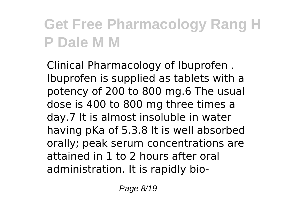Clinical Pharmacology of Ibuprofen . Ibuprofen is supplied as tablets with a potency of 200 to 800 mg.6 The usual dose is 400 to 800 mg three times a day.7 It is almost insoluble in water having pKa of 5.3.8 It is well absorbed orally; peak serum concentrations are attained in 1 to 2 hours after oral administration. It is rapidly bio-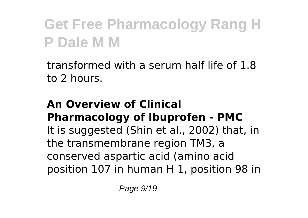transformed with a serum half life of 1.8 to 2 hours.

#### **An Overview of Clinical Pharmacology of Ibuprofen - PMC** It is suggested (Shin et al., 2002) that, in the transmembrane region TM3, a conserved aspartic acid (amino acid position 107 in human H 1, position 98 in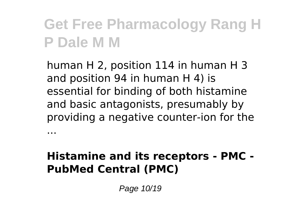human H 2, position 114 in human H 3 and position 94 in human H 4) is essential for binding of both histamine and basic antagonists, presumably by providing a negative counter-ion for the

#### **Histamine and its receptors - PMC - PubMed Central (PMC)**

Page 10/19

...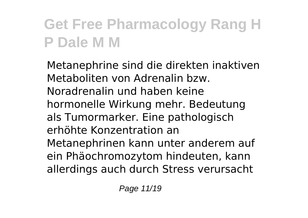Metanephrine sind die direkten inaktiven Metaboliten von Adrenalin bzw. Noradrenalin und haben keine hormonelle Wirkung mehr. Bedeutung als Tumormarker. Eine pathologisch erhöhte Konzentration an Metanephrinen kann unter anderem auf ein Phäochromozytom hindeuten, kann allerdings auch durch Stress verursacht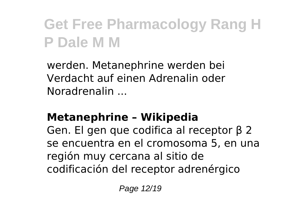werden. Metanephrine werden bei Verdacht auf einen Adrenalin oder Noradrenalin ...

#### **Metanephrine – Wikipedia**

Gen. El gen que codifica al receptor β 2 se encuentra en el cromosoma 5, en una región muy cercana al sitio de codificación del receptor adrenérgico

Page 12/19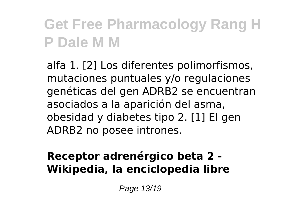alfa 1. [2] Los diferentes polimorfismos, mutaciones puntuales y/o regulaciones genéticas del gen ADRB2 se encuentran asociados a la aparición del asma, obesidad y diabetes tipo 2. [1] El gen ADRB2 no posee intrones.

#### **Receptor adrenérgico beta 2 - Wikipedia, la enciclopedia libre**

Page 13/19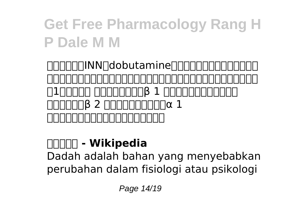TINN∏MN∏dobutamine∏∏∏∏∏∏∏∏∏∏∏∏∏ 療の際に、一時的に用いられる場合のある、アドレナリン受容体アゴニスト の1つである。 主に交感神経系のβ 1 受容体を直接作動させる。 また、弱いがβ 2 アドレナリン受容体とα 1 アドレナリン受容体の活性化作用も持つ。

#### **ドブタミン - Wikipedia**

Dadah adalah bahan yang menyebabkan perubahan dalam fisiologi atau psikologi

Page 14/19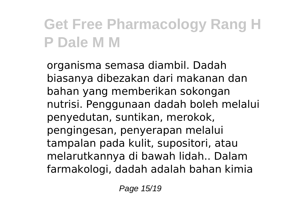organisma semasa diambil. Dadah biasanya dibezakan dari makanan dan bahan yang memberikan sokongan nutrisi. Penggunaan dadah boleh melalui penyedutan, suntikan, merokok, pengingesan, penyerapan melalui tampalan pada kulit, supositori, atau melarutkannya di bawah lidah.. Dalam farmakologi, dadah adalah bahan kimia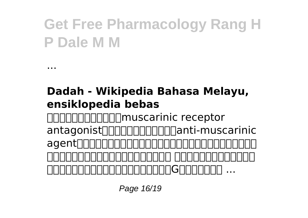#### **Dadah - Wikipedia Bahasa Melayu, ensiklopedia bebas**

...

ムスカリン受容体拮抗薬(muscarinic receptor antagonist)または抗ムスカリン薬(anti-muscarinic agent) の活性を阻害する抗コリン薬の一種である。 ムスカリン受容体は、副交感 <u>hooooooooooooooooooooooooooo...</u>

Page 16/19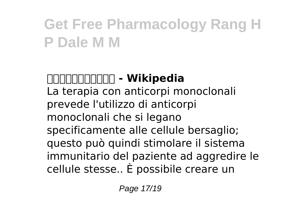#### **ムスカリン受容体拮抗薬 - Wikipedia**

La terapia con anticorpi monoclonali prevede l'utilizzo di anticorpi monoclonali che si legano specificamente alle cellule bersaglio; questo può quindi stimolare il sistema immunitario del paziente ad aggredire le cellule stesse.. È possibile creare un

Page 17/19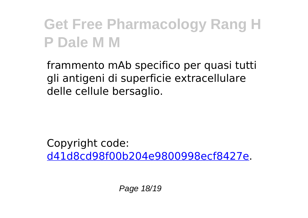frammento mAb specifico per quasi tutti gli antigeni di superficie extracellulare delle cellule bersaglio.

Copyright code: [d41d8cd98f00b204e9800998ecf8427e.](/sitemap.xml)

Page 18/19